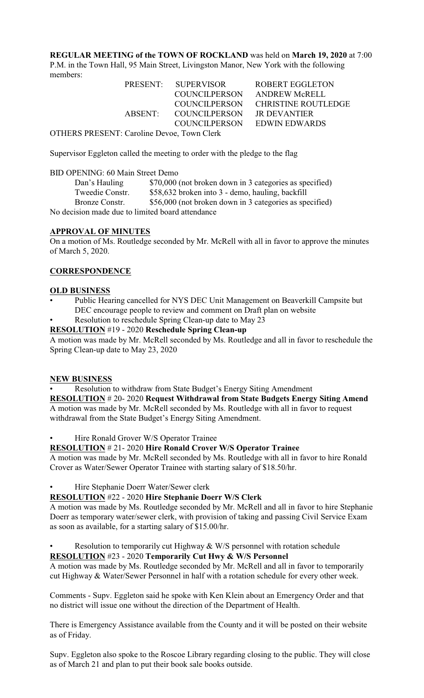**REGULAR MEETING of the TOWN OF ROCKLAND** was held on **March 19, 2020** at 7:00 P.M. in the Town Hall, 95 Main Street, Livingston Manor, New York with the following members:

|                                            | PRESENT: SUPERVISOR   | ROBERT EGGLETON             |  |  |
|--------------------------------------------|-----------------------|-----------------------------|--|--|
|                                            | <b>COUNCILPERSON</b>  | ANDREW McRELL               |  |  |
|                                            | <b>COUNCILPERSON</b>  | CHRISTINE ROUTLEDGE         |  |  |
|                                            | ABSENT: COUNCILPERSON | JR DEVANTIER                |  |  |
|                                            |                       | COUNCILPERSON EDWIN EDWARDS |  |  |
| OTHERS PRESENT: Caroline Devoe. Town Clerk |                       |                             |  |  |

Supervisor Eggleton called the meeting to order with the pledge to the flag

### BID OPENING: 60 Main Street Demo

| Dan's Hauling                                    | \$70,000 (not broken down in 3 categories as specified) |  |
|--------------------------------------------------|---------------------------------------------------------|--|
| Tweedie Constr.                                  | \$58,632 broken into 3 - demo, hauling, backfill        |  |
| Bronze Constr.                                   | \$56,000 (not broken down in 3 categories as specified) |  |
| No decision made due to limited board attendance |                                                         |  |

### **APPROVAL OF MINUTES**

On a motion of Ms. Routledge seconded by Mr. McRell with all in favor to approve the minutes of March 5, 2020.

### **CORRESPONDENCE**

#### **OLD BUSINESS**

- Public Hearing cancelled for NYS DEC Unit Management on Beaverkill Campsite but DEC encourage people to review and comment on Draft plan on website
	- Resolution to reschedule Spring Clean-up date to May 23

# **RESOLUTION** #19 - 2020 **Reschedule Spring Clean-up**

A motion was made by Mr. McRell seconded by Ms. Routledge and all in favor to reschedule the Spring Clean-up date to May 23, 2020

#### **NEW BUSINESS**

• Resolution to withdraw from State Budget's Energy Siting Amendment **RESOLUTION** # 20- 2020 **Request Withdrawal from State Budgets Energy Siting Amend** A motion was made by Mr. McRell seconded by Ms. Routledge with all in favor to request withdrawal from the State Budget's Energy Siting Amendment.

• Hire Ronald Grover W/S Operator Trainee

# **RESOLUTION** # 21- 2020 **Hire Ronald Crover W/S Operator Trainee**

A motion was made by Mr. McRell seconded by Ms. Routledge with all in favor to hire Ronald Crover as Water/Sewer Operator Trainee with starting salary of \$18.50/hr.

• Hire Stephanie Doerr Water/Sewer clerk

## **RESOLUTION** #22 - 2020 **Hire Stephanie Doerr W/S Clerk**

A motion was made by Ms. Routledge seconded by Mr. McRell and all in favor to hire Stephanie Doerr as temporary water/sewer clerk, with provision of taking and passing Civil Service Exam as soon as available, for a starting salary of \$15.00/hr.

# Resolution to temporarily cut Highway  $&$  W/S personnel with rotation schedule

## **RESOLUTION** #23 - 2020 **Temporarily Cut Hwy & W/S Personnel**

A motion was made by Ms. Routledge seconded by Mr. McRell and all in favor to temporarily cut Highway & Water/Sewer Personnel in half with a rotation schedule for every other week.

Comments - Supv. Eggleton said he spoke with Ken Klein about an Emergency Order and that no district will issue one without the direction of the Department of Health.

There is Emergency Assistance available from the County and it will be posted on their website as of Friday.

Supv. Eggleton also spoke to the Roscoe Library regarding closing to the public. They will close as of March 21 and plan to put their book sale books outside.